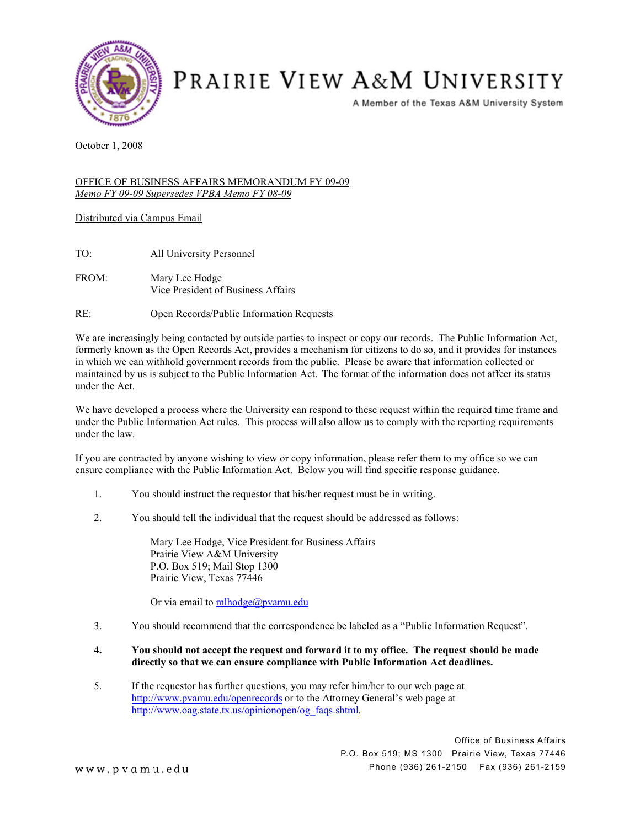

## PRAIRIE VIEW A&M UNIVERSITY

A Member of the Texas A&M University System

October 1, 2008

## OFFICE OF BUSINESS AFFAIRS MEMORANDUM FY 09-09 *Memo FY 09-09 Supersedes VPBA Memo FY 08-09*

Distributed via Campus Email

- TO: All University Personnel
- FROM: Mary Lee Hodge Vice President of Business Affairs

RE: Open Records/Public Information Requests

We are increasingly being contacted by outside parties to inspect or copy our records. The Public Information Act, formerly known as the Open Records Act, provides a mechanism for citizens to do so, and it provides for instances in which we can withhold government records from the public. Please be aware that information collected or maintained by us is subject to the Public Information Act. The format of the information does not affect its status under the Act.

We have developed a process where the University can respond to these request within the required time frame and under the Public Information Act rules. This process will also allow us to comply with the reporting requirements under the law.

If you are contracted by anyone wishing to view or copy information, please refer them to my office so we can ensure compliance with the Public Information Act. Below you will find specific response guidance.

- 1. You should instruct the requestor that his/her request must be in writing.
- 2. You should tell the individual that the request should be addressed as follows:

Mary Lee Hodge, Vice President for Business Affairs Prairie View A&M University P.O. Box 519; Mail Stop 1300 Prairie View, Texas 77446

Or via email to **mlhodge@pvamu**.edu

3. You should recommend that the correspondence be labeled as a "Public Information Request".

## **4. You should not accept the request and forward it to my office. The request should be made directly so that we can ensure compliance with Public Information Act deadlines.**

5. If the requestor has further questions, you may refer him/her to our web page at <http://www.pvamu.edu/openrecords>or to the Attorney General's web page at [http://www.oag.state.tx.us/opinionopen/og\\_faqs.shtml.](http://www.oag.state.tx.us/opinionopen/og_faqs.shtml)